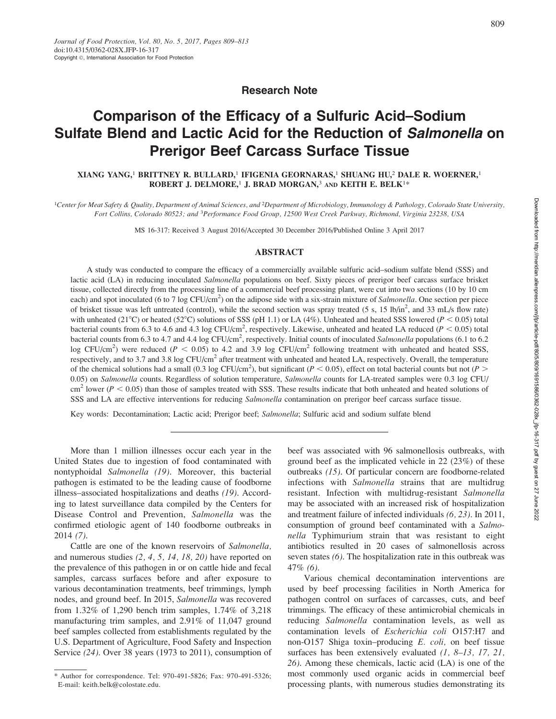Research Note

# Comparison of the Efficacy of a Sulfuric Acid–Sodium Sulfate Blend and Lactic Acid for the Reduction of Salmonella on Prerigor Beef Carcass Surface Tissue

XIANG YANG,<sup>1</sup> BRITTNEY R. BULLARD,<sup>1</sup> IFIGENIA GEORNARAS,<sup>1</sup> SHUANG HU,<sup>2</sup> DALE R. WOERNER,<sup>1</sup> ROBERT J. DELMORE,<sup>1</sup> J. BRAD MORGAN,<sup>3</sup> AND KEITH E. BELK<sup>1\*</sup>

<sup>1</sup>Center for Meat Safety & Quality, Department of Animal Sciences, and <sup>2</sup>Department of Microbiology, Immunology & Pathology, Colorado State University, Fort Collins, Colorado 80523; and <sup>3</sup>Performance Food Group, 12500 West Creek Parkway, Richmond, Virginia 23238, USA

MS 16-317: Received 3 August 2016/Accepted 30 December 2016/Published Online 3 April 2017

## ABSTRACT

A study was conducted to compare the efficacy of a commercially available sulfuric acid–sodium sulfate blend (SSS) and lactic acid (LA) in reducing inoculated Salmonella populations on beef. Sixty pieces of prerigor beef carcass surface brisket tissue, collected directly from the processing line of a commercial beef processing plant, were cut into two sections (10 by 10 cm each) and spot inoculated (6 to 7 log CFU/cm<sup>2</sup>) on the adipose side with a six-strain mixture of Salmonella. One section per piece of brisket tissue was left untreated (control), while the second section was spray treated (5 s, 15 lb/in<sup>2</sup>, and 33 mL/s flow rate) with unheated (21°C) or heated (52°C) solutions of SSS (pH 1.1) or LA (4%). Unheated and heated SSS lowered ( $P < 0.05$ ) total bacterial counts from 6.3 to 4.6 and 4.3 log CFU/cm<sup>2</sup>, respectively. Likewise, unheated and heated LA reduced ( $P < 0.05$ ) total bacterial counts from 6.3 to 4.7 and 4.4 log  $CFU/cm^2$ , respectively. Initial counts of inoculated Salmonella populations (6.1 to 6.2 log CFU/cm<sup>2</sup>) were reduced ( $P < 0.05$ ) to 4.2 and 3.9 log CFU/cm<sup>2</sup> following treatment with unheated and heated SSS, respectively, and to 3.7 and 3.8 log CFU/cm<sup>2</sup> after treatment with unheated and heated LA, respectively. Overall, the temperature of the chemical solutions had a small (0.3 log CFU/cm<sup>2</sup>), but significant ( $P < 0.05$ ), effect on total bacterial counts but not ( $P >$ 0.05) on Salmonella counts. Regardless of solution temperature, Salmonella counts for LA-treated samples were 0.3 log CFU/  $\text{cm}^2$  lower (P < 0.05) than those of samples treated with SSS. These results indicate that both unheated and heated solutions of SSS and LA are effective interventions for reducing Salmonella contamination on prerigor beef carcass surface tissue.

Key words: Decontamination; Lactic acid; Prerigor beef; Salmonella; Sulfuric acid and sodium sulfate blend

More than 1 million illnesses occur each year in the United States due to ingestion of food contaminated with nontyphoidal Salmonella (19). Moreover, this bacterial pathogen is estimated to be the leading cause of foodborne illness–associated hospitalizations and deaths (19). According to latest surveillance data compiled by the Centers for Disease Control and Prevention, Salmonella was the confirmed etiologic agent of 140 foodborne outbreaks in 2014 (7).

Cattle are one of the known reservoirs of Salmonella, and numerous studies (2, 4, 5, 14, 18, 20) have reported on the prevalence of this pathogen in or on cattle hide and fecal samples, carcass surfaces before and after exposure to various decontamination treatments, beef trimmings, lymph nodes, and ground beef. In 2015, Salmonella was recovered from 1.32% of 1,290 bench trim samples, 1.74% of 3,218 manufacturing trim samples, and 2.91% of 11,047 ground beef samples collected from establishments regulated by the U.S. Department of Agriculture, Food Safety and Inspection Service (24). Over 38 years (1973 to 2011), consumption of beef was associated with 96 salmonellosis outbreaks, with ground beef as the implicated vehicle in 22 (23%) of these outbreaks (15). Of particular concern are foodborne-related infections with Salmonella strains that are multidrug resistant. Infection with multidrug-resistant Salmonella may be associated with an increased risk of hospitalization and treatment failure of infected individuals (6, 23). In 2011, consumption of ground beef contaminated with a Salmonella Typhimurium strain that was resistant to eight antibiotics resulted in 20 cases of salmonellosis across seven states (6). The hospitalization rate in this outbreak was 47% (6).

Various chemical decontamination interventions are used by beef processing facilities in North America for pathogen control on surfaces of carcasses, cuts, and beef trimmings. The efficacy of these antimicrobial chemicals in reducing Salmonella contamination levels, as well as contamination levels of Escherichia coli O157:H7 and non-O157 Shiga toxin–producing E. coli, on beef tissue surfaces has been extensively evaluated  $(1, 8-13, 17, 21,$ 26). Among these chemicals, lactic acid (LA) is one of the most commonly used organic acids in commercial beef processing plants, with numerous studies demonstrating its

<sup>\*</sup> Author for correspondence. Tel: 970-491-5826; Fax: 970-491-5326; E-mail: keith.belk@colostate.edu.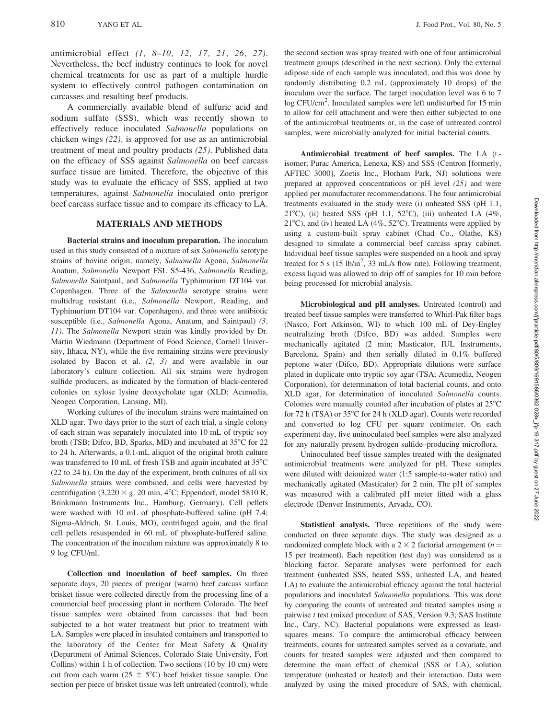antimicrobial effect (1, 8–10, 12, 17, 21, 26, 27). Nevertheless, the beef industry continues to look for novel chemical treatments for use as part of a multiple hurdle system to effectively control pathogen contamination on carcasses and resulting beef products.

A commercially available blend of sulfuric acid and sodium sulfate (SSS), which was recently shown to effectively reduce inoculated Salmonella populations on chicken wings (22), is approved for use as an antimicrobial treatment of meat and poultry products (25). Published data on the efficacy of SSS against Salmonella on beef carcass surface tissue are limited. Therefore, the objective of this study was to evaluate the efficacy of SSS, applied at two temperatures, against Salmonella inoculated onto prerigor beef carcass surface tissue and to compare its efficacy to LA.

## MATERIALS AND METHODS

Bacterial strains and inoculum preparation. The inoculum used in this study consisted of a mixture of six Salmonella serotype strains of bovine origin, namely, Salmonella Agona, Salmonella Anatum, Salmonella Newport FSL S5-436, Salmonella Reading, Salmonella Saintpaul, and Salmonella Typhimurium DT104 var. Copenhagen. Three of the Salmonella serotype strains were multidrug resistant (i.e., Salmonella Newport, Reading, and Typhimurium DT104 var. Copenhagen), and three were antibiotic susceptible (i.e., Salmonella Agona, Anatum, and Saintpaul) (3, 11). The Salmonella Newport strain was kindly provided by Dr. Martin Wiedmann (Department of Food Science, Cornell University, Ithaca, NY), while the five remaining strains were previously isolated by Bacon et al. (2, 3) and were available in our laboratory's culture collection. All six strains were hydrogen sulfide producers, as indicated by the formation of black-centered colonies on xylose lysine deoxycholate agar (XLD; Acumedia, Neogen Corporation, Lansing, MI).

Working cultures of the inoculum strains were maintained on XLD agar. Two days prior to the start of each trial, a single colony of each strain was separately inoculated into 10 mL of tryptic soy broth (TSB; Difco, BD, Sparks, MD) and incubated at 35°C for 22 to 24 h. Afterwards, a 0.1-mL aliquot of the original broth culture was transferred to 10 mL of fresh TSB and again incubated at  $35^{\circ}$ C (22 to 24 h). On the day of the experiment, broth cultures of all six Salmonella strains were combined, and cells were harvested by centrifugation (3,220  $\times g$ , 20 min, 4°C; Eppendorf, model 5810 R, Brinkmann Instruments Inc., Hamburg, Germany). Cell pellets were washed with 10 mL of phosphate-buffered saline (pH 7.4; Sigma-Aldrich, St. Louis, MO), centrifuged again, and the final cell pellets resuspended in 60 mL of phosphate-buffered saline. The concentration of the inoculum mixture was approximately 8 to 9 log CFU/ml.

Collection and inoculation of beef samples. On three separate days, 20 pieces of prerigor (warm) beef carcass surface brisket tissue were collected directly from the processing line of a commercial beef processing plant in northern Colorado. The beef tissue samples were obtained from carcasses that had been subjected to a hot water treatment but prior to treatment with LA. Samples were placed in insulated containers and transported to the laboratory of the Center for Meat Safety & Quality (Department of Animal Sciences, Colorado State University, Fort Collins) within 1 h of collection. Two sections (10 by 10 cm) were cut from each warm ( $25 \pm 5^{\circ}$ C) beef brisket tissue sample. One section per piece of brisket tissue was left untreated (control), while

the second section was spray treated with one of four antimicrobial treatment groups (described in the next section). Only the external adipose side of each sample was inoculated, and this was done by randomly distributing 0.2 mL (approximately 10 drops) of the inoculum over the surface. The target inoculation level was 6 to 7 log CFU/cm<sup>2</sup>. Inoculated samples were left undisturbed for 15 min to allow for cell attachment and were then either subjected to one of the antimicrobial treatments or, in the case of untreated control samples, were microbially analyzed for initial bacterial counts.

Antimicrobial treatment of beef samples. The LA (Lisomer; Purac America, Lenexa, KS) and SSS (Centron [formerly, AFTEC 3000], Zoetis Inc., Florham Park, NJ) solutions were prepared at approved concentrations or pH level (25) and were applied per manufacturer recommendations. The four antimicrobial treatments evaluated in the study were (i) unheated SSS (pH 1.1, 21°C), (ii) heated SSS (pH 1.1, 52°C), (iii) unheated LA  $(4\%,$ 21°C), and (iv) heated LA (4%, 52°C). Treatments were applied by using a custom-built spray cabinet (Chad Co., Olathe, KS) designed to simulate a commercial beef carcass spray cabinet. Individual beef tissue samples were suspended on a hook and spray treated for 5 s (15 lb/in<sup>2</sup>, 33 mL/s flow rate). Following treatment, excess liquid was allowed to drip off of samples for 10 min before being processed for microbial analysis.

Microbiological and pH analyses. Untreated (control) and treated beef tissue samples were transferred to Whirl-Pak filter bags (Nasco, Fort Atkinson, WI) to which 100 mL of Dey-Engley neutralizing broth (Difco, BD) was added. Samples were mechanically agitated (2 min; Masticator, IUL Instruments, Barcelona, Spain) and then serially diluted in 0.1% buffered peptone water (Difco, BD). Appropriate dilutions were surface plated in duplicate onto tryptic soy agar (TSA; Acumedia, Neogen Corporation), for determination of total bacterial counts, and onto XLD agar, for determination of inoculated Salmonella counts. Colonies were manually counted after incubation of plates at  $25^{\circ}$ C for 72 h (TSA) or 35°C for 24 h (XLD agar). Counts were recorded and converted to log CFU per square centimeter. On each experiment day, five uninoculated beef samples were also analyzed for any naturally present hydrogen sulfide–producing microflora.

Uninoculated beef tissue samples treated with the designated antimicrobial treatments were analyzed for pH. These samples were diluted with deionized water (1:5 sample-to-water ratio) and mechanically agitated (Masticator) for 2 min. The pH of samples was measured with a calibrated pH meter fitted with a glass electrode (Denver Instruments, Arvada, CO).

Statistical analysis. Three repetitions of the study were conducted on three separate days. The study was designed as a randomized complete block with a  $2 \times 2$  factorial arrangement ( $n =$ 15 per treatment). Each repetition (test day) was considered as a blocking factor. Separate analyses were performed for each treatment (unheated SSS, heated SSS, unheated LA, and heated LA) to evaluate the antimicrobial efficacy against the total bacterial populations and inoculated Salmonella populations. This was done by comparing the counts of untreated and treated samples using a pairwise t test (mixed procedure of SAS, Version 9.3; SAS Institute Inc., Cary, NC). Bacterial populations were expressed as leastsquares means. To compare the antimicrobial efficacy between treatments, counts for untreated samples served as a covariate, and counts for treated samples were adjusted and then compared to determine the main effect of chemical (SSS or LA), solution temperature (unheated or heated) and their interaction. Data were analyzed by using the mixed procedure of SAS, with chemical,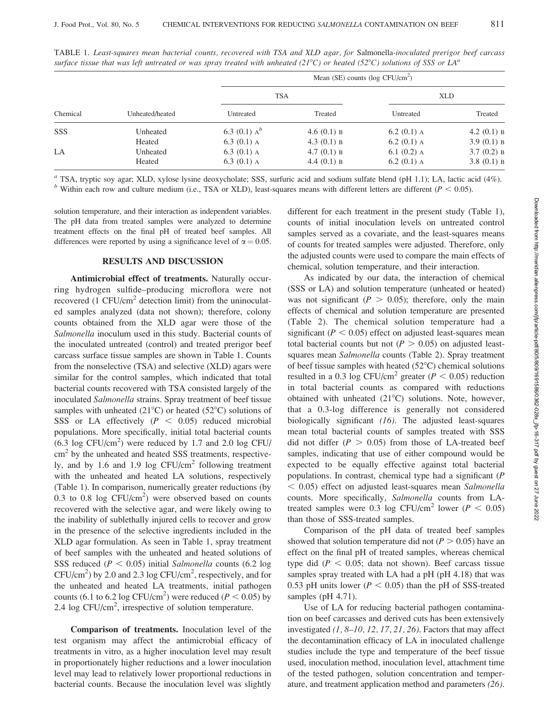| Chemical   | Unheated/heated              | Mean (SE) counts ( $log CFU/cm2$ )              |                                                 |                                                 |                                               |  |
|------------|------------------------------|-------------------------------------------------|-------------------------------------------------|-------------------------------------------------|-----------------------------------------------|--|
|            |                              | <b>TSA</b>                                      |                                                 | <b>XLD</b>                                      |                                               |  |
|            |                              | Untreated                                       | Treated                                         | Untreated                                       | Treated                                       |  |
| <b>SSS</b> | Unheated                     | 6.3 (0.1) $A^b$                                 | 4.6 $(0.1)$ B                                   | 6.2 $(0.1)$ A                                   | 4.2 $(0.1)$ B                                 |  |
| LA         | Heated<br>Unheated<br>Heated | 6.3 $(0.1)$ A<br>6.3 $(0.1)$ A<br>6.3 $(0.1)$ A | 4.3 $(0.1)$ B<br>4.7 $(0.1)$ B<br>4.4 $(0.1)$ B | 6.2 $(0.1)$ A<br>6.1 $(0.2)$ A<br>6.2 $(0.1)$ A | $3.9(0.1)$ B<br>$3.7(0.2)$ B<br>3.8 $(0.1)$ B |  |

TABLE 1. Least-squares mean bacterial counts, recovered with TSA and XLD agar, for Salmonella-inoculated prerigor beef carcass surface tissue that was left untreated or was spray treated with unheated (21°C) or heated (52°C) solutions of SSS or LA<sup>a</sup>

<sup>a</sup> TSA, tryptic soy agar; XLD, xylose lysine deoxycholate; SSS, surfuric acid and sodium sulfate blend (pH 1.1); LA, lactic acid (4%). <sup>b</sup> Within each row and culture medium (i.e., TSA or XLD), least-squares means with different letters are different ( $P < 0.05$ ).

solution temperature, and their interaction as independent variables. The pH data from treated samples were analyzed to determine treatment effects on the final pH of treated beef samples. All differences were reported by using a significance level of  $\alpha = 0.05$ .

### RESULTS AND DISCUSSION

Antimicrobial effect of treatments. Naturally occurring hydrogen sulfide–producing microflora were not recovered  $(1 \text{ CFU/cm}^2$  detection limit) from the uninoculated samples analyzed (data not shown); therefore, colony counts obtained from the XLD agar were those of the Salmonella inoculum used in this study. Bacterial counts of the inoculated untreated (control) and treated prerigor beef carcass surface tissue samples are shown in Table 1. Counts from the nonselective (TSA) and selective (XLD) agars were similar for the control samples, which indicated that total bacterial counts recovered with TSA consisted largely of the inoculated Salmonella strains. Spray treatment of beef tissue samples with unheated  $(21^{\circ}C)$  or heated (52 $^{\circ}C$ ) solutions of SSS or LA effectively  $(P < 0.05)$  reduced microbial populations. More specifically, initial total bacterial counts  $(6.3 \text{ log CFU/cm}^2)$  were reduced by 1.7 and 2.0 log CFU/  $\text{cm}^2$  by the unheated and heated SSS treatments, respectively, and by 1.6 and 1.9 log  $CFU/cm<sup>2</sup>$  following treatment with the unheated and heated LA solutions, respectively (Table 1). In comparison, numerically greater reductions (by  $0.3$  to  $0.8$  log CFU/cm<sup>2</sup>) were observed based on counts recovered with the selective agar, and were likely owing to the inability of sublethally injured cells to recover and grow in the presence of the selective ingredients included in the XLD agar formulation. As seen in Table 1, spray treatment of beef samples with the unheated and heated solutions of SSS reduced ( $P < 0.05$ ) initial Salmonella counts (6.2 log  $CFU/cm<sup>2</sup>$ ) by 2.0 and 2.3 log CFU/cm<sup>2</sup>, respectively, and for the unheated and heated LA treatments, initial pathogen counts (6.1 to 6.2 log CFU/cm<sup>2</sup>) were reduced ( $P < 0.05$ ) by 2.4 log CFU/cm<sup>2</sup>, irrespective of solution temperature.

Comparison of treatments. Inoculation level of the test organism may affect the antimicrobial efficacy of treatments in vitro, as a higher inoculation level may result in proportionately higher reductions and a lower inoculation level may lead to relatively lower proportional reductions in bacterial counts. Because the inoculation level was slightly different for each treatment in the present study (Table 1), counts of initial inoculation levels on untreated control samples served as a covariate, and the least-squares means of counts for treated samples were adjusted. Therefore, only the adjusted counts were used to compare the main effects of chemical, solution temperature, and their interaction.

As indicated by our data, the interaction of chemical (SSS or LA) and solution temperature (unheated or heated) was not significant ( $P > 0.05$ ); therefore, only the main effects of chemical and solution temperature are presented (Table 2). The chemical solution temperature had a significant ( $P < 0.05$ ) effect on adjusted least-squares mean total bacterial counts but not ( $P > 0.05$ ) on adjusted leastsquares mean Salmonella counts (Table 2). Spray treatment of beef tissue samples with heated  $(52^{\circ}C)$  chemical solutions resulted in a 0.3 log CFU/cm<sup>2</sup> greater ( $P < 0.05$ ) reduction in total bacterial counts as compared with reductions obtained with unheated  $(21^{\circ}C)$  solutions. Note, however, that a 0.3-log difference is generally not considered biologically significant (16). The adjusted least-squares mean total bacterial counts of samples treated with SSS did not differ ( $P > 0.05$ ) from those of LA-treated beef samples, indicating that use of either compound would be expected to be equally effective against total bacterial populations. In contrast, chemical type had a significant (P  $<$  0.05) effect on adjusted least-squares mean Salmonella counts. More specifically, Salmonella counts from LAtreated samples were 0.3 log CFU/cm<sup>2</sup> lower ( $P < 0.05$ ) than those of SSS-treated samples.

Comparison of the pH data of treated beef samples showed that solution temperature did not ( $P > 0.05$ ) have an effect on the final pH of treated samples, whereas chemical type did ( $P < 0.05$ ; data not shown). Beef carcass tissue samples spray treated with LA had a pH (pH 4.18) that was 0.53 pH units lower ( $P < 0.05$ ) than the pH of SSS-treated samples (pH 4.71).

Use of LA for reducing bacterial pathogen contamination on beef carcasses and derived cuts has been extensively investigated (1, 8–10, 12, 17, 21, 26). Factors that may affect the decontamination efficacy of LA in inoculated challenge studies include the type and temperature of the beef tissue used, inoculation method, inoculation level, attachment time of the tested pathogen, solution concentration and temperature, and treatment application method and parameters (26).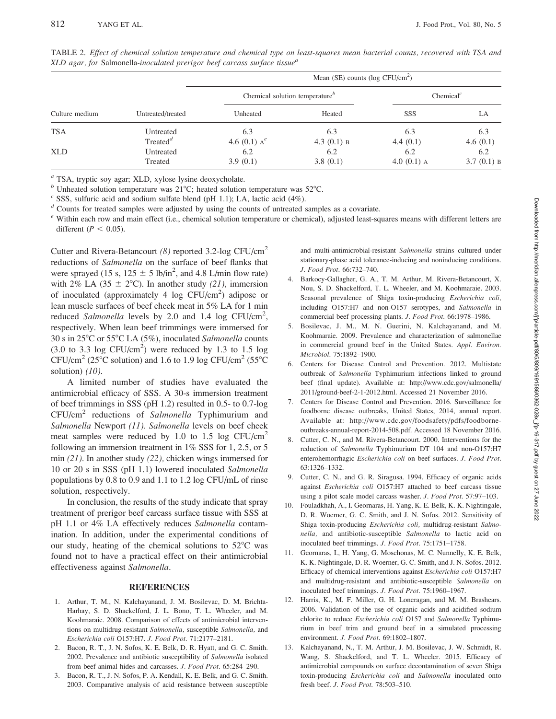|                |                                   | Mean (SE) counts ( $log CFU/cm2$ )                |                      |                      |                     |  |
|----------------|-----------------------------------|---------------------------------------------------|----------------------|----------------------|---------------------|--|
|                | Untreated/treated                 | Chemical solution temperature <sup><i>b</i></sup> |                      | Chemical $c$         |                     |  |
| Culture medium |                                   | Unheated                                          | Heated               | <b>SSS</b>           | LA                  |  |
| <b>TSA</b>     | Untreated<br>Treated <sup>d</sup> | 6.3<br>4.6 (0.1) $A^e$                            | 6.3<br>4.3 $(0.1)$ B | 6.3<br>4.4(0.1)      | 6.3<br>4.6 $(0.1)$  |  |
| <b>XLD</b>     | Untreated<br>Treated              | 6.2<br>3.9(0.1)                                   | 6.2<br>3.8(0.1)      | 6.2<br>4.0 $(0.1)$ A | 6.2<br>$3.7(0.1)$ B |  |

TABLE 2. Effect of chemical solution temperature and chemical type on least-squares mean bacterial counts, recovered with TSA and XLD agar, for Salmonella-inoculated prerigor beef carcass surface tissue<sup>a</sup>

<sup>a</sup> TSA, tryptic soy agar; XLD, xylose lysine deoxycholate.

<sup>b</sup> Unheated solution temperature was 21°C; heated solution temperature was 52°C. <sup>c</sup> SSS, sulfuric acid and sodium sulfate blend (pH 1.1); LA, lactic acid (4%).

 $d$  Counts for treated samples were adjusted by using the counts of untreated samples as a covariate.

 $e$  Within each row and main effect (i.e., chemical solution temperature or chemical), adjusted least-squares means with different letters are different ( $P < 0.05$ ).

Cutter and Rivera-Betancourt (8) reported  $3.2$ -log CFU/cm<sup>2</sup> reductions of Salmonella on the surface of beef flanks that were sprayed (15 s,  $125 \pm 5$  lb/in<sup>2</sup>, and 4.8 L/min flow rate) with 2% LA (35  $\pm$  2°C). In another study (21), immersion of inoculated (approximately 4 log CFU/cm<sup>2</sup>) adipose or lean muscle surfaces of beef cheek meat in 5% LA for 1 min reduced Salmonella levels by 2.0 and 1.4 log  $CFU/cm^2$ , respectively. When lean beef trimmings were immersed for 30 s in 25 $\rm{°C}$  or 55 $\rm{°C}$  LA (5%), inoculated Salmonella counts  $(3.0 \text{ to } 3.3 \text{ log CFU/cm}^2)$  were reduced by 1.3 to 1.5 log CFU/cm<sup>2</sup> (25 $^{\circ}$ C solution) and 1.6 to 1.9 log CFU/cm<sup>2</sup> (55 $^{\circ}$ C solution)  $(10)$ .

A limited number of studies have evaluated the antimicrobial efficacy of SSS. A 30-s immersion treatment of beef trimmings in SSS (pH 1.2) resulted in 0.5- to 0.7-log CFU/cm<sup>2</sup> reductions of Salmonella Typhimurium and Salmonella Newport (11). Salmonella levels on beef cheek meat samples were reduced by 1.0 to 1.5 log  $CFU/cm<sup>2</sup>$ following an immersion treatment in 1% SSS for 1, 2.5, or 5 min (21). In another study (22), chicken wings immersed for 10 or 20 s in SSS (pH 1.1) lowered inoculated Salmonella populations by 0.8 to 0.9 and 1.1 to 1.2 log CFU/mL of rinse solution, respectively.

In conclusion, the results of the study indicate that spray treatment of prerigor beef carcass surface tissue with SSS at pH 1.1 or 4% LA effectively reduces Salmonella contamination. In addition, under the experimental conditions of our study, heating of the chemical solutions to  $52^{\circ}$ C was found not to have a practical effect on their antimicrobial effectiveness against Salmonella.

### **REFERENCES**

- 1. Arthur, T. M., N. Kalchayanand, J. M. Bosilevac, D. M. Brichta-Harhay, S. D. Shackelford, J. L. Bono, T. L. Wheeler, and M. Koohmaraie. 2008. Comparison of effects of antimicrobial interventions on multidrug-resistant Salmonella, susceptible Salmonella, and Escherichia coli O157:H7. J. Food Prot. 71:2177–2181.
- 2. Bacon, R. T., J. N. Sofos, K. E. Belk, D. R. Hyatt, and G. C. Smith. 2002. Prevalence and antibiotic susceptibility of Salmonella isolated from beef animal hides and carcasses. J. Food Prot. 65:284–290.
- Bacon, R. T., J. N. Sofos, P. A. Kendall, K. E. Belk, and G. C. Smith. 2003. Comparative analysis of acid resistance between susceptible

and multi-antimicrobial-resistant Salmonella strains cultured under stationary-phase acid tolerance-inducing and noninducing conditions. J. Food Prot. 66:732–740.

- 4. Barkocy-Gallagher, G. A., T. M. Arthur, M. Rivera-Betancourt, X. Nou, S. D. Shackelford, T. L. Wheeler, and M. Koohmaraie. 2003. Seasonal prevalence of Shiga toxin-producing Escherichia coli, including O157:H7 and non-O157 serotypes, and Salmonella in commercial beef processing plants. J. Food Prot. 66:1978–1986.
- 5. Bosilevac, J. M., M. N. Guerini, N. Kalchayanand, and M. Koohmaraie. 2009. Prevalence and characterization of salmonellae in commercial ground beef in the United States. Appl. Environ. Microbiol. 75:1892–1900.
- 6. Centers for Disease Control and Prevention. 2012. Multistate outbreak of Salmonella Typhimurium infections linked to ground beef (final update). Available at: http://www.cdc.gov/salmonella/ 2011/ground-beef-2-1-2012.html. Accessed 21 November 2016.
- 7. Centers for Disease Control and Prevention. 2016. Surveillance for foodborne disease outbreaks, United States, 2014, annual report. Available at: http://www.cdc.gov/foodsafety/pdfs/foodborneoutbreaks-annual-report-2014-508.pdf. Accessed 18 November 2016.
- 8. Cutter, C. N., and M. Rivera-Betancourt. 2000. Interventions for the reduction of Salmonella Typhimurium DT 104 and non-O157:H7 enterohemorrhagic Escherichia coli on beef surfaces. J. Food Prot. 63:1326–1332.
- 9. Cutter, C. N., and G. R. Siragusa. 1994. Efficacy of organic acids against Escherichia coli O157:H7 attached to beef carcass tissue using a pilot scale model carcass washer. J. Food Prot. 57:97–103.
- 10. Fouladkhah, A., I. Geornaras, H. Yang, K. E. Belk, K. K. Nightingale, D. R. Woerner, G. C. Smith, and J. N. Sofos. 2012. Sensitivity of Shiga toxin-producing Escherichia coli, multidrug-resistant Salmonella, and antibiotic-susceptible Salmonella to lactic acid on inoculated beef trimmings. J. Food Prot. 75:1751–1758.
- 11. Geornaras, I., H. Yang, G. Moschonas, M. C. Nunnelly, K. E. Belk, K. K. Nightingale, D. R. Woerner, G. C. Smith, and J. N. Sofos. 2012. Efficacy of chemical interventions against Escherichia coli O157:H7 and multidrug-resistant and antibiotic-susceptible Salmonella on inoculated beef trimmings. J. Food Prot. 75:1960–1967.
- 12. Harris, K., M. F. Miller, G. H. Loneragan, and M. M. Brashears. 2006. Validation of the use of organic acids and acidified sodium chlorite to reduce Escherichia coli O157 and Salmonella Typhimurium in beef trim and ground beef in a simulated processing environment. J. Food Prot. 69:1802–1807.
- 13. Kalchayanand, N., T. M. Arthur, J. M. Bosilevac, J. W. Schmidt, R. Wang, S. Shackelford, and T. L. Wheeler. 2015. Efficacy of antimicrobial compounds on surface decontamination of seven Shiga toxin-producing Escherichia coli and Salmonella inoculated onto fresh beef. J. Food Prot. 78:503–510.